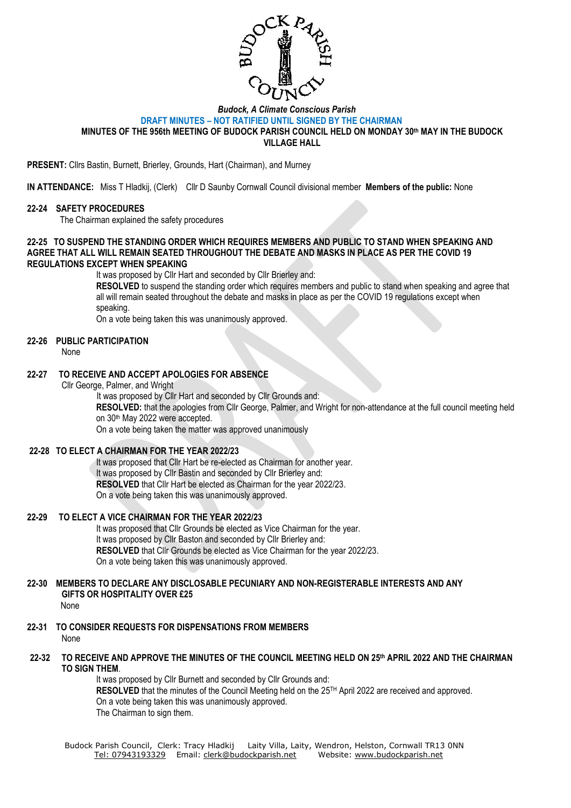

#### *Budock, A Climate Conscious Parish* **DRAFT MINUTES – NOT RATIFIED UNTIL SIGNED BY THE CHAIRMAN MINUTES OF THE 956th MEETING OF BUDOCK PARISH COUNCIL HELD ON MONDAY 30th MAY IN THE BUDOCK VILLAGE HALL**

**PRESENT:** Cllrs Bastin, Burnett, Brierley, Grounds, Hart (Chairman), and Murney

**IN ATTENDANCE:** Miss T Hladkij, (Clerk) Cllr D Saunby Cornwall Council divisional member **Members of the public:** None

#### **22-24 SAFETY PROCEDURES**

The Chairman explained the safety procedures

### **22-25 TO SUSPEND THE STANDING ORDER WHICH REQUIRES MEMBERS AND PUBLIC TO STAND WHEN SPEAKING AND AGREE THAT ALL WILL REMAIN SEATED THROUGHOUT THE DEBATE AND MASKS IN PLACE AS PER THE COVID 19 REGULATIONS EXCEPT WHEN SPEAKING**

It was proposed by Cllr Hart and seconded by Cllr Brierley and:

**RESOLVED** to suspend the standing order which requires members and public to stand when speaking and agree that all will remain seated throughout the debate and masks in place as per the COVID 19 regulations except when speaking.

On a vote being taken this was unanimously approved.

# **22-26 PUBLIC PARTICIPATION**

None

# **22-27 TO RECEIVE AND ACCEPT APOLOGIES FOR ABSENCE**

Cllr George, Palmer, and Wright

It was proposed by Cllr Hart and seconded by Cllr Grounds and:

**RESOLVED:** that the apologies from Cllr George, Palmer, and Wright for non-attendance at the full council meeting held on 30th May 2022 were accepted.

On a vote being taken the matter was approved unanimously

### **22-28 TO ELECT A CHAIRMAN FOR THE YEAR 2022/23**

It was proposed that Cllr Hart be re-elected as Chairman for another year. It was proposed by Cllr Bastin and seconded by Cllr Brierley and: **RESOLVED** that Cllr Hart be elected as Chairman for the year 2022/23. On a vote being taken this was unanimously approved.

#### **22-29 TO ELECT A VICE CHAIRMAN FOR THE YEAR 2022/23**

It was proposed that Cllr Grounds be elected as Vice Chairman for the year.

It was proposed by Cllr Baston and seconded by Cllr Brierley and:

**RESOLVED** that Cllr Grounds be elected as Vice Chairman for the year 2022/23.

On a vote being taken this was unanimously approved.

# **22-30 MEMBERS TO DECLARE ANY DISCLOSABLE PECUNIARY AND NON-REGISTERABLE INTERESTS AND ANY GIFTS OR HOSPITALITY OVER £25**

None

- **22-31 TO CONSIDER REQUESTS FOR DISPENSATIONS FROM MEMBERS** None
- **22-32 TO RECEIVE AND APPROVE THE MINUTES OF THE COUNCIL MEETING HELD ON 25 th APRIL 2022 AND THE CHAIRMAN TO SIGN THEM**.

It was proposed by Cllr Burnett and seconded by Cllr Grounds and: RESOLVED that the minutes of the Council Meeting held on the 25<sup>TH</sup> April 2022 are received and approved. On a vote being taken this was unanimously approved. The Chairman to sign them.

Budock Parish Council, Clerk: Tracy Hladkij Laity Villa, Laity, Wendron, Helston, Cornwall TR13 0NN Tel: [07943193329](mailto:Tel:%2007943193329) Email: [clerk@budockparish.net](mailto:clerk@budockparish.net) Website: [www.budockparish.net](http://www.budockparish.net/)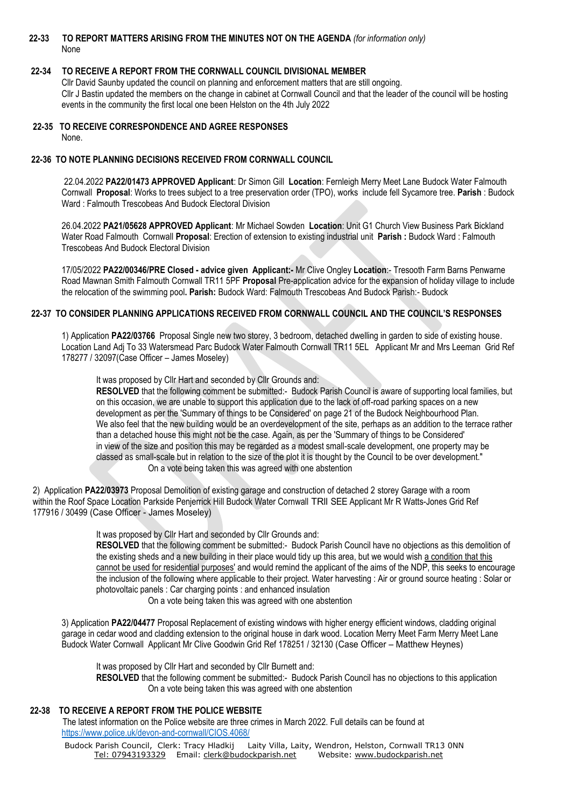# **22-33 TO REPORT MATTERS ARISING FROM THE MINUTES NOT ON THE AGENDA** *(for information only)* None

# **22-34 TO RECEIVE A REPORT FROM THE CORNWALL COUNCIL DIVISIONAL MEMBER**

Cllr David Saunby updated the council on planning and enforcement matters that are still ongoing. Cllr J Bastin updated the members on the change in cabinet at Cornwall Council and that the leader of the council will be hosting events in the community the first local one been Helston on the 4th July 2022

**22-35 TO RECEIVE CORRESPONDENCE AND AGREE RESPONSES** None.

# **22-36 TO NOTE PLANNING DECISIONS RECEIVED FROM CORNWALL COUNCIL**

22.04.2022 **PA22/01473 APPROVED Applicant**: Dr Simon Gill **Location**: Fernleigh Merry Meet Lane Budock Water Falmouth Cornwall **Proposal**: Works to trees subject to a tree preservation order (TPO), works include fell Sycamore tree. **Parish** : Budock Ward : Falmouth Trescobeas And Budock Electoral Division

26.04.2022 **PA21/05628 APPROVED Applicant**: Mr Michael Sowden **Location**: Unit G1 Church View Business Park Bickland Water Road Falmouth Cornwall **Proposal**: Erection of extension to existing industrial unit **Parish :** Budock Ward : Falmouth Trescobeas And Budock Electoral Division

17/05/2022 **PA22/00346/PRE Closed - advice given Applicant:-** Mr Clive Ongley **Location**:- Tresooth Farm Barns Penwarne Road Mawnan Smith Falmouth Cornwall TR11 5PF **Proposal** Pre-application advice for the expansion of holiday village to include the relocation of the swimming pool**. Parish:** Budock Ward: Falmouth Trescobeas And Budock Parish:- Budock

# **22-37 TO CONSIDER PLANNING APPLICATIONS RECEIVED FROM CORNWALL COUNCIL AND THE COUNCIL'S RESPONSES**

1) Application **PA22/03766** Proposal Single new two storey, 3 bedroom, detached dwelling in garden to side of existing house. Location Land Adj To 33 Watersmead Parc Budock Water Falmouth Cornwall TR11 5EL Applicant Mr and Mrs Leeman Grid Ref 178277 / 32097(Case Officer – James Moseley)

It was proposed by Cllr Hart and seconded by Cllr Grounds and:

**RESOLVED** that the following comment be submitted:- Budock Parish Council is aware of supporting local families, but on this occasion, we are unable to support this application due to the lack of off-road parking spaces on a new development as per the 'Summary of things to be Considered' on page 21 of the Budock Neighbourhood Plan. We also feel that the new building would be an overdevelopment of the site, perhaps as an addition to the terrace rather than a detached house this might not be the case. Again, as per the 'Summary of things to be Considered' in view of the size and position this may be regarded as a modest small-scale development, one property may be classed as small-scale but in relation to the size of the plot it is thought by the Council to be over development." On a vote being taken this was agreed with one abstention

2) Application **PA22/03973** Proposal Demolition of existing garage and construction of detached 2 storey Garage with a room within the Roof Space Location Parkside Penjerrick Hill Budock Water Cornwall TRll SEE Applicant Mr R Watts-Jones Grid Ref 177916 / 30499 (Case Officer - James Moseley)

It was proposed by Cllr Hart and seconded by Cllr Grounds and:

**RESOLVED** that the following comment be submitted:- Budock Parish Council have no objections as this demolition of the existing sheds and a new building in their place would tidy up this area, but we would wish a condition that this cannot be used for residential purposes' and would remind the applicant of the aims of the NDP, this seeks to encourage the inclusion of the following where applicable to their project. Water harvesting : Air or ground source heating : Solar or photovoltaic panels : Car charging points : and enhanced insulation

On a vote being taken this was agreed with one abstention

3) Application **PA22/04477** Proposal Replacement of existing windows with higher energy efficient windows, cladding original garage in cedar wood and cladding extension to the original house in dark wood. Location Merry Meet Farm Merry Meet Lane Budock Water Cornwall Applicant Mr Clive Goodwin Grid Ref 178251 / 32130 (Case Officer – Matthew Heynes)

It was proposed by Cllr Hart and seconded by Cllr Burnett and:

**RESOLVED** that the following comment be submitted:- Budock Parish Council has no objections to this application On a vote being taken this was agreed with one abstention

### **22-38 TO RECEIVE A REPORT FROM THE POLICE WEBSITE**

The latest information on the Police website are three crimes in March 2022. Full details can be found at <https://www.police.uk/devon-and-cornwall/CIOS.4068/>

Budock Parish Council, Clerk: Tracy Hladkij Laity Villa, Laity, Wendron, Helston, Cornwall TR13 0NN Tel: [07943193329](mailto:Tel:%2007943193329) Email: [clerk@budockparish.net](mailto:clerk@budockparish.net) Website: [www.budockparish.net](http://www.budockparish.net/)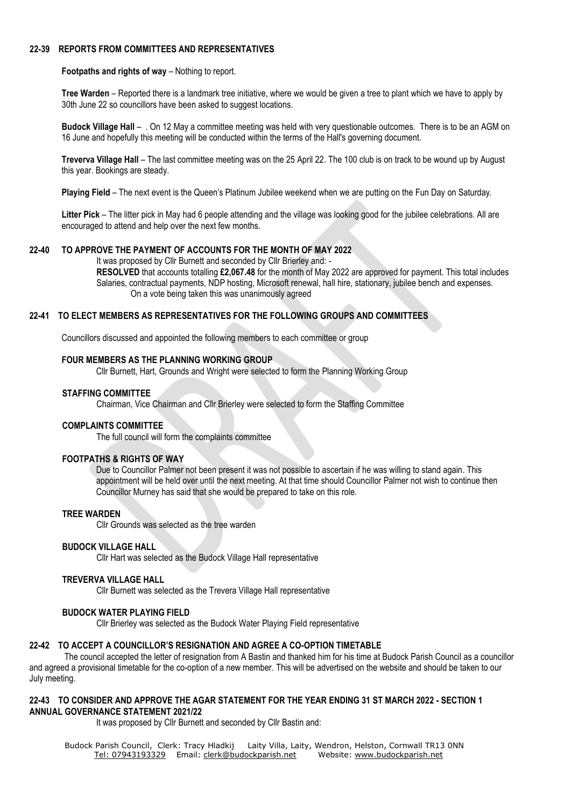### **22-39 REPORTS FROM COMMITTEES AND REPRESENTATIVES**

#### **Footpaths and rights of way** – Nothing to report.

**Tree Warden** – Reported there is a landmark tree initiative, where we would be given a tree to plant which we have to apply by 30th June 22 so councillors have been asked to suggest locations.

**Budock Village Hall** – . On 12 May a committee meeting was held with very questionable outcomes. There is to be an AGM on 16 June and hopefully this meeting will be conducted within the terms of the Hall's governing document.

**Treverva Village Hall** – The last committee meeting was on the 25 April 22. The 100 club is on track to be wound up by August this year. Bookings are steady.

**Playing Field** – The next event is the Queen's Platinum Jubilee weekend when we are putting on the Fun Day on Saturday.

**Litter Pick** – The litter pick in May had 6 people attending and the village was looking good for the jubilee celebrations. All are encouraged to attend and help over the next few months.

# **22-40 TO APPROVE THE PAYMENT OF ACCOUNTS FOR THE MONTH OF MAY 2022**

It was proposed by Cllr Burnett and seconded by Cllr Brierley and: -

**RESOLVED** that accounts totalling **£2,067.48** for the month of May 2022 are approved for payment. This total includes Salaries, contractual payments, NDP hosting, Microsoft renewal, hall hire, stationary, jubilee bench and expenses. On a vote being taken this was unanimously agreed

### **22-41 TO ELECT MEMBERS AS REPRESENTATIVES FOR THE FOLLOWING GROUPS AND COMMITTEES**

Councillors discussed and appointed the following members to each committee or group

#### **FOUR MEMBERS AS THE PLANNING WORKING GROUP**

Cllr Burnett, Hart, Grounds and Wright were selected to form the Planning Working Group

#### **STAFFING COMMITTEE**

Chairman, Vice Chairman and Cllr Brierley were selected to form the Staffing Committee

### **COMPLAINTS COMMITTEE**

The full council will form the complaints committee

# **FOOTPATHS & RIGHTS OF WAY**

Due to Councillor Palmer not been present it was not possible to ascertain if he was willing to stand again. This appointment will be held over until the next meeting. At that time should Councillor Palmer not wish to continue then Councillor Murney has said that she would be prepared to take on this role.

### **TREE WARDEN**

Cllr Grounds was selected as the tree warden

#### **BUDOCK VILLAGE HALL**

Cllr Hart was selected as the Budock Village Hall representative

#### **TREVERVA VILLAGE HALL**

Cllr Burnett was selected as the Trevera Village Hall representative

### **BUDOCK WATER PLAYING FIELD**

Cllr Brierley was selected as the Budock Water Playing Field representative

# **22-42 TO ACCEPT A COUNCILLOR'S RESIGNATION AND AGREE A CO-OPTION TIMETABLE**

The council accepted the letter of resignation from A Bastin and thanked him for his time at Budock Parish Council as a councillor and agreed a provisional timetable for the co-option of a new member. This will be advertised on the website and should be taken to our July meeting.

### **22-43 TO CONSIDER AND APPROVE THE AGAR STATEMENT FOR THE YEAR ENDING 31 ST MARCH 2022 - SECTION 1 ANNUAL GOVERNANCE STATEMENT 2021/22**

It was proposed by Cllr Burnett and seconded by Cllr Bastin and:

Budock Parish Council, Clerk: Tracy Hladkij Laity Villa, Laity, Wendron, Helston, Cornwall TR13 0NN Tel: [07943193329](mailto:Tel:%2007943193329) Email: [clerk@budockparish.net](mailto:clerk@budockparish.net) Website: [www.budockparish.net](http://www.budockparish.net/)